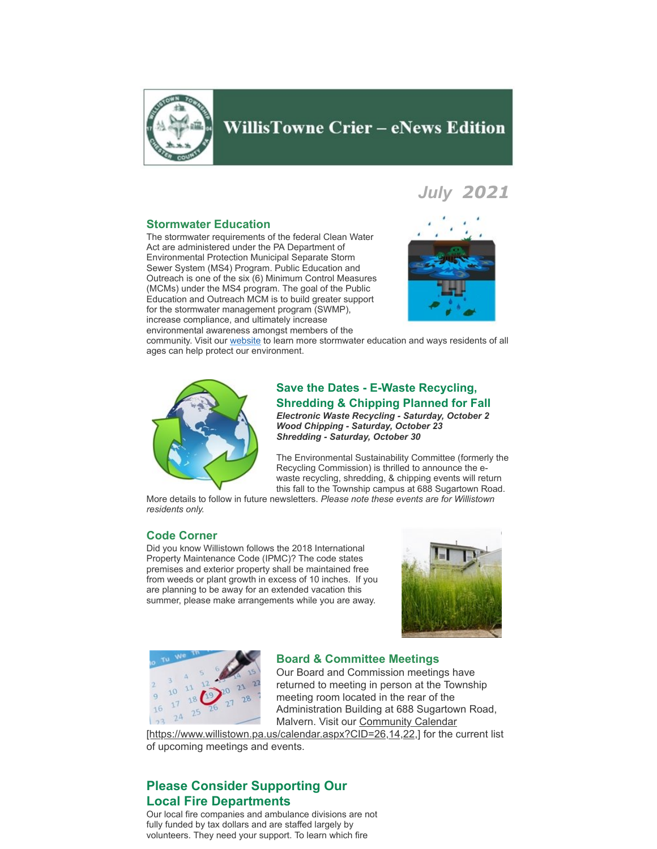

# **WillisTowne Crier – eNews Edition**

## *July 2021*

## **Stormwater Education**

The stormwater requirements of the federal Clean Water Act are administered under the PA Department of Environmental Protection Municipal Separate Storm Sewer System (MS4) Program. Public Education and Outreach is one of the six (6) Minimum Control Measures (MCMs) under the MS4 program. The goal of the Public Education and Outreach MCM is to build greater support for the stormwater management program (SWMP), increase compliance, and ultimately increase environmental awareness amongst members of the



community. Visit our [website](https://www.willistown.pa.us/130/Stormwater-Tips-Guidelines) to learn more stormwater education and ways residents of all ages can help protect our environment.



## **Save the Dates - E-Waste Recycling, Shredding & Chipping Planned for Fall** *Electronic Waste Recycling - Saturday, October 2 Wood Chipping - Saturday, October 23 Shredding - Saturday, October 30*

The Environmental Sustainability Committee (formerly the Recycling Commission) is thrilled to announce the ewaste recycling, shredding, & chipping events will return this fall to the Township campus at 688 Sugartown Road.

More details to follow in future newsletters. *Please note these events are for Willistown residents only.*

#### **Code Corner**

Did you know Willistown follows the 2018 International Property Maintenance Code (IPMC)? The code states premises and exterior property shall be maintained free from weeds or plant growth in excess of 10 inches. If you are planning to be away for an extended vacation this summer, please make arrangements while you are away.





#### **Board & Committee Meetings**

Our Board and Commission meetings have returned to meeting in person at the Township meeting room located in the rear of the Administration Building at 688 Sugartown Road, Malvern. Visit our Community Calendar

[\[https://www.willistown.pa.us/calendar.aspx?CID=26,14,22,\] for the c](https://www.willistown.pa.us/calendar.aspx?CID=26,14,22,)urrent list of upcoming meetings and events.

## **Please Consider Supporting Our Local Fire Departments**

Our local fire companies and ambulance divisions are not fully funded by tax dollars and are staffed largely by volunteers. They need your support. To learn which fire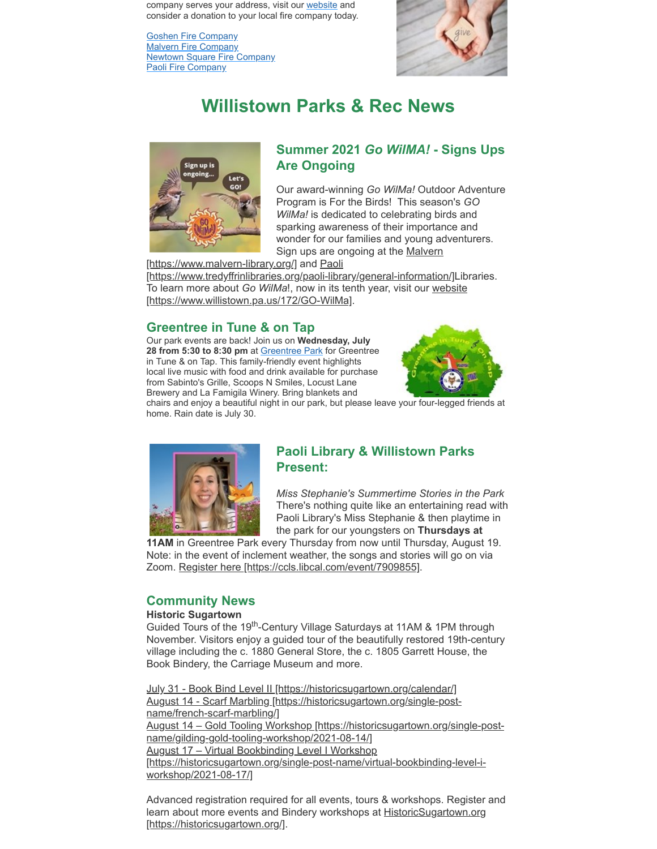company serves your address, visit our [website](https://www.willistown.pa.us/ArchiveCenter/ViewFile/Item/1140) and consider a donation to your local fire company today.

[Goshen Fire Company](https://goshenfireco.org/) [Malvern Fire Company](https://malvernfireco.com/) [Newtown Square Fire Company](https://www.nsfc.org/) [Paoli Fire Company](https://www.paolifirecompany.org/)



# **Willistown Parks & Rec News**



## **Summer 2021** *Go WilMA!* **- Signs Ups Are Ongoing**

Our award-winning *Go WilMa!* Outdoor Adventure Program is For the Birds! This season's *GO WilMa!* is dedicated to celebrating birds and sparking awareness of their importance and wonder for our families and young adventurers. Sign ups are ongoing at the Malvern

[\[https://www.malvern-library.org/\] and Paoli](https://www.malvern-library.org/)

[\[https://www.tredyffrinlibraries.org/paoli-library/general-information/\]L](https://www.tredyffrinlibraries.org/paoli-library/general-information/)ibraries. To learn more about *Go WilMa*!, now in its tenth year, visit our website [\[https://www.willistown.pa.us/172/GO-WilMa\].](https://www.willistown.pa.us/172/GO-WilMa)

## **Greentree in Tune & on Tap**

Our park events are back! Join us on **Wednesday, July 28 from 5:30 to 8:30 pm** at [Greentree Park](https://www.google.com/maps/dir/40.0362184,-75.5138118/greentree+park/@40.0375046,-75.5150862,15z/data=!3m1!4b1!4m9!4m8!1m1!4e1!1m5!1m1!1s0x89c6ed36baba7231:0x71a45bfa139657d1!2m2!1d-75.4993414!2d40.0370148) for Greentree in Tune & on Tap. This family-friendly event highlights local live music with food and drink available for purchase from Sabinto's Grille, Scoops N Smiles, Locust Lane Brewery and La Famigila Winery. Bring blankets and



chairs and enjoy a beautiful night in our park, but please leave your four-legged friends at home. Rain date is July 30.



## **Paoli Library & Willistown Parks Present:**

*Miss Stephanie's Summertime Stories in the Park* There's nothing quite like an entertaining read with Paoli Library's Miss Stephanie & then playtime in the park for our youngsters on **Thursdays at**

**11AM** in Greentree Park every Thursday from now until Thursday, August 19. Note: in the event of inclement weather, the songs and stories will go on via Zoom. [Register here \[https://ccls.libcal.com/event/7909855\]](https://ccls.libcal.com/event/7909855).

## **Community News**

## **Historic Sugartown**

Guided Tours of the 19<sup>th</sup>-Century Village Saturdays at 11AM & 1PM through November. Visitors enjoy a guided tour of the beautifully restored 19th-century village including the c. 1880 General Store, the c. 1805 Garrett House, the Book Bindery, the Carriage Museum and more.

[July 31 - Book Bind Level II \[https://historicsugartown.org/calendar/\]](https://historicsugartown.org/calendar/) August 14 - [Scarf Marbling \[https://historicsugartown.org/single-post](https://historicsugartown.org/single-post-name/french-scarf-marbling/)name/french-scarf-marbling/] August 14 [– Gold Tooling Workshop \[https://historicsugartown.org/single-post](https://historicsugartown.org/single-post-name/gilding-gold-tooling-workshop/2021-08-14/)name/gilding-gold-tooling-workshop/2021-08-14/] August 17 – Virtual Bookbinding Level I Workshop [\[https://historicsugartown.org/single-post-name/virtual-bookbinding-level-i](https://historicsugartown.org/single-post-name/virtual-bookbinding-level-i-workshop/2021-08-17/)workshop/2021-08-17/]

Advanced registration required for all events, tours & workshops. Register and learn about more events and Bindery workshops at **HistoricSugartown.org** [https://historicsugartown.org/].